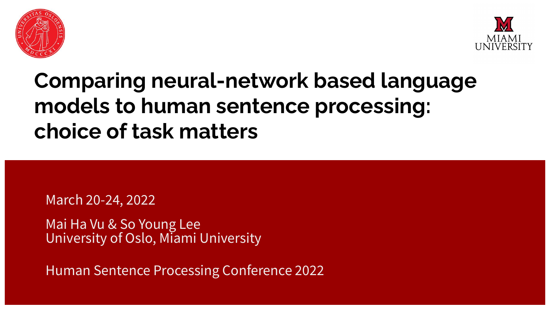



## **Comparing neural-network based language models to human sentence processing: choice of task matters**

March 20-24, 2022

Mai Ha Vu & So Young Lee University of Oslo, Miami University

Human Sentence Processing Conference 2022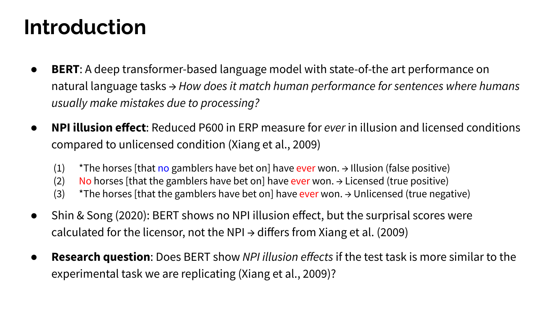### **Introduction**

- **BERT**: A deep transformer-based language model with state-of-the art performance on natural language tasks → *How does it match human performance for sentences where humans usually make mistakes due to processing?*
- **NPI illusion effect**: Reduced P600 in ERP measure for *ever* in illusion and licensed conditions compared to unlicensed condition (Xiang et al., 2009)
	- (1)  $*$ The horses [that no gamblers have bet on] have ever won.  $\rightarrow$  Illusion (false positive)
	- (2) No horses [that the gamblers have bet on] have ever won.  $\rightarrow$  Licensed (true positive)
	- (3)  $*$ The horses [that the gamblers have bet on] have ever won.  $\rightarrow$  Unlicensed (true negative)
- Shin & Song (2020): BERT shows no NPI illusion effect, but the surprisal scores were calculated for the licensor, not the NPI  $\rightarrow$  differs from Xiang et al. (2009)
- **Research question**: Does BERT show *NPI illusion effects* if the test task is more similar to the experimental task we are replicating (Xiang et al., 2009)?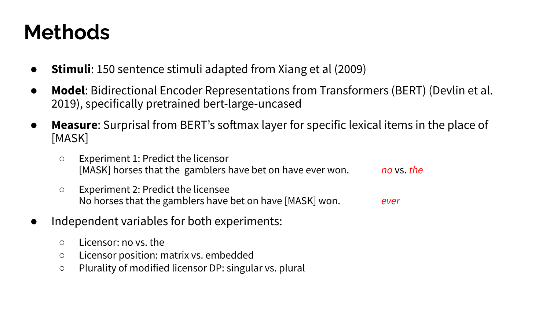### **Methods**

- **Stimuli**: 150 sentence stimuli adapted from Xiang et al (2009)
- **Model**: Bidirectional Encoder Representations from Transformers (BERT) (Devlin et al. 2019), specifically pretrained bert-large-uncased
- **Measure**: Surprisal from BERT's softmax layer for specific lexical items in the place of [MASK]
	- Experiment 1: Predict the licensor [MASK] horses that the gamblers have bet on have ever won. *no* vs. *the*
	- Experiment 2: Predict the licensee No horses that the gamblers have bet on have [MASK] won. *ever*
- Independent variables for both experiments:
	- Licensor: no vs. the
	- Licensor position: matrix vs. embedded
	- Plurality of modified licensor DP: singular vs. plural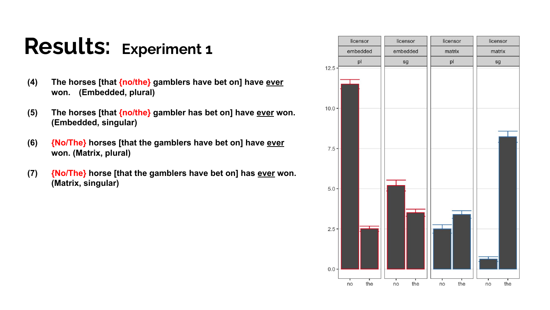# **Results: Experiment 1**

- **(4) The horses [that {no/the} gamblers have bet on] have ever won. (Embedded, plural)**
- **(5) The horses [that {no/the} gambler has bet on] have ever won. (Embedded, singular)**
- **(6) {No/The} horses [that the gamblers have bet on] have ever won. (Matrix, plural)**
- **(7) {No/The} horse [that the gamblers have bet on] has ever won. (Matrix, singular)**

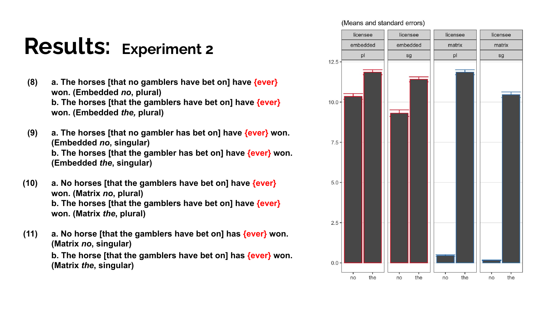# **Results: Experiment 2**

**(8) a. The horses [that no gamblers have bet on] have {ever} won. (Embedded** *no***, plural) b. The horses [that the gamblers have bet on] have {ever} won. (Embedded** *the,* **plural)**

**(9) a. The horses [that no gambler has bet on] have {ever} won. (Embedded** *no***, singular) b. The horses [that the gambler has bet on] have {ever} won. (Embedded** *the***, singular)**

**(10) a. No horses [that the gamblers have bet on] have {ever} won. (Matrix** *no***, plural) b. The horses [that the gamblers have bet on] have {ever} won. (Matrix** *the***, plural)**

**(11) a. No horse [that the gamblers have bet on] has {ever} won. (Matrix** *no***, singular) b. The horse [that the gamblers have bet on] has {ever} won. (Matrix** *the***, singular)**

#### (Means and standard errors)

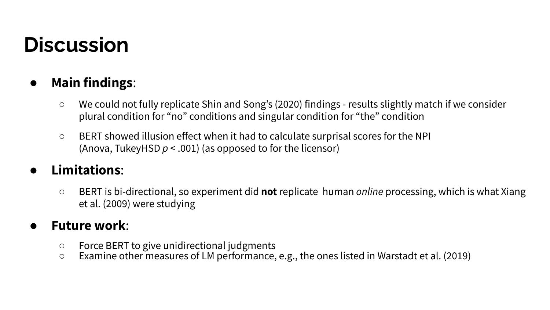### **Discussion**

#### ● **Main findings**:

- We could not fully replicate Shin and Song's (2020) findings results slightly match if we consider plural condition for "no" conditions and singular condition for "the" condition
- BERT showed illusion effect when it had to calculate surprisal scores for the NPI (Anova, TukeyHSD *p* < .001) (as opposed to for the licensor)

#### ● **Limitations**:

○ BERT is bi-directional, so experiment did **not** replicate human *online* processing, which is what Xiang et al. (2009) were studying

#### ● **Future work**:

- Force BERT to give unidirectional judgments
- Examine other measures of LM performance, e.g., the ones listed in Warstadt et al. (2019)